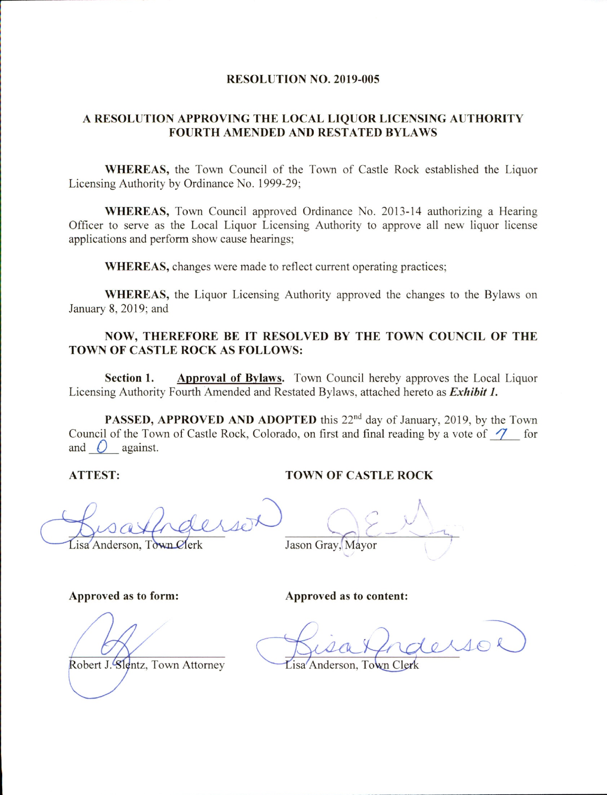#### RESOLUTION NO. 2019-005

#### A RESOLUTION APPROVING THE LOCAL LIQUOR LICENSING AUTHORITY FOURTH AMENDED AND RESTATED BYLAWS

WHEREAS, the Town Council of the Town of Castle Rock established the Liquor Licensing Authority by Ordinance No. 1999-29;

WHEREAS, Town Council approved Ordinance No. 2013-14 authorizing a Hearing Officer to serve as the Local Liquor Licensing Authority to approve all new liquor license applications and perform show cause hearings;

WHEREAS, changes were made to reflect current operating practices;

WHEREAS, the Liquor Licensing Authority approved the changes to the Bylaws on January 8, 2019; and

#### NOW, THEREFORE BE IT RESOLVED BY THE TOWN COUNCIL OF THE TOWN OF CASTLE ROCK AS FOLLOWS:

Section 1. Approval of Bylaws. Town Council hereby approves the Local Liquor Licensing Authority Fourth Amended and Restated Bylaws, attached hereto as Exhibit 1.

PASSED, APPROVED AND ADOPTED this 22<sup>nd</sup> day of January, 2019, by the Town Council of the Town of Castle Rock, Colorado, on first and final reading by a vote of  $\mathcal{I}$  for and  $\bigcirc$  against.

#### ATTEST: TOWN OF CASTLE ROCK

isa Anderson, Town Clerk Jason Gray, Mayor

#### Approved as to form: Approved as to content:

Robert J. Slentz, Town Attorney Lisa Anderson, Town Cler

rderso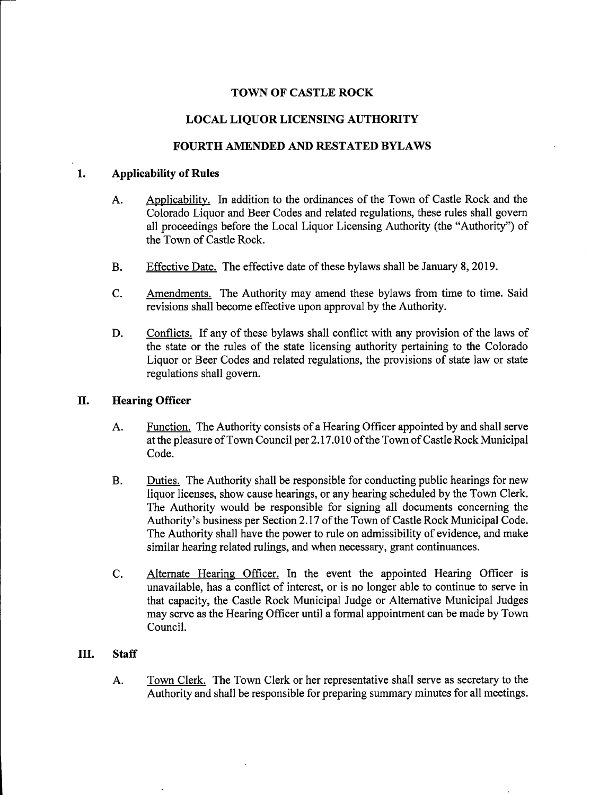#### TOWN OF CASTLE ROCK

#### LOCAL LIQUOR LICENSING AUTHORITY

#### FOURTH AMENDED AND RESTATED BYLAWS

#### 1. Applicability of Rules

- A. Applicability. In addition to the ordinances of the Town of Castle Rock and the Colorado Liquor and Beer Codes and related regulations, these rules shall govern all proceedings before the Local Liquor Licensing Authority (the "Authority") of the Town of Castle Rock.
- B. Effective Date. The effective date of these bylaws shall be January 8, 2019.
- C. Amendments. The Authority may amend these bylaws from time to time. Said revisions shall become effective upon approval by the Authority.
- D. Conflicts. If any of these bylaws shall conflict with any provision of the laws of the state or the rules of the state licensing authority pertaining to the Colorado Liquor or Beer Codes and related regulations, the provisions of state law or state regulations shall govern.

#### II. Hearing Officer

- A. Function. The Authority consists of a Hearing Officer appointed by and shall serve at the pleasure of Town Council per 2.17.010 of the Town of Castle Rock Municipal Code.
- B. Duties. The Authority shall be responsible for conducting public hearings for new liquor licenses, show cause hearings, or any hearing scheduled by the Town Clerk. The Authority would be responsible for signing all documents concerning the Authority's business per Section 2.17 of the Town of Castle Rock Municipal Code. The Authority shall have the power to rule on admissibility of evidence, and make similar hearing related rulings, and when necessary, grant continuances.
- C. Alternate Hearing Officer. In the event the appointed Hearing Officer is unavailable, has a conflict of interest, or is no longer able to continue to serve in that capacity, the Castle Rock Municipal Judge or Alternative Municipal Judges may serve as the Hearing Officer until a formal appointment can be made by Town Council.

#### HI. Staff

A. Town Clerk. The Town Clerk or her representative shall serve as secretary to the Authority and shall be responsible for preparing summary minutes for all meetings.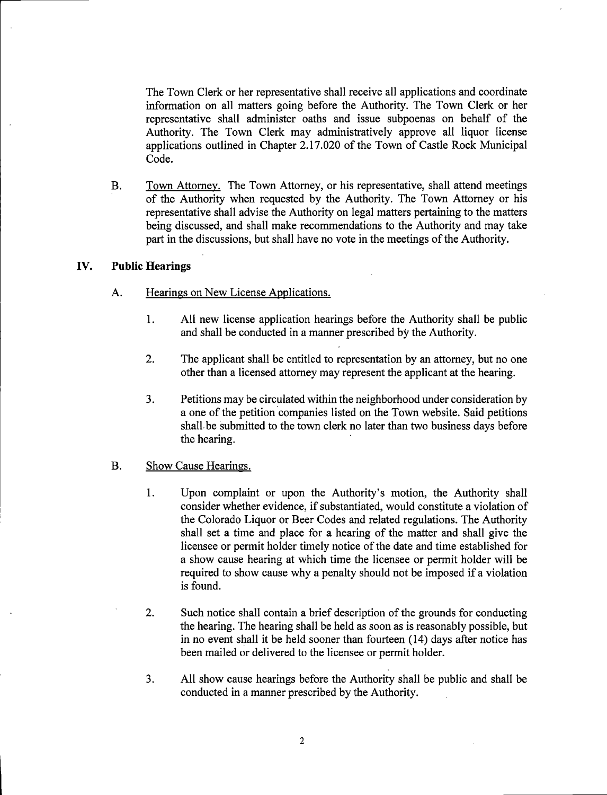The Town Clerk or her representative shall receive all applications and coordinate information on all matters going before the Authority. The Town Clerk or her representative shall administer oaths and issue subpoenas on behalf of the Authority. The Town Clerk may administratively approve all liquor license applications outlined in Chapter 2.17.020 of the Town of Castle Rock Municipal Code.

B. Town Attorney. The Town Attorney, or his representative, shall attend meetings of the Authority when requested by the Authority. The Town Attorney or his representative shall advise the Authority on legal matters pertaining to the matters being discussed, and shall make recommendations to the Authority and may take part in the discussions, but shall have no vote in the meetings of the Authority.

#### IV. Public Hearings

- A. Hearings on New License Applications.
	- 1. All new license application hearings before the Authority shall be public and shall be conducted in a manner prescribed by the Authority.
	- 2. The applicant shall be entitled to representation by an attorney, but no one other than a licensed attomey may represent the applicant at the hearing.
	- 3. Petitions may be circulated within the neighborhood under consideration by a one of the petition companies listed on the Town website. Said petitions shall be submitted to the town clerk no later than two business days before the hearing.

#### B. Show Cause Hearings.

- 1. Upon complaint or upon the Authority's motion, the Authority shall consider whether evidence, if substantiated, would constitute a violation of the Colorado Liquor or Beer Codes and related regulations. The Authority shall set a time and place for a hearing of the matter and shall give the licensee or permit holder timely notice of the date and time established for a show cause hearing at which time the licensee or permit holder will be required to show cause why a penalty should not be imposed if a violation is found.
- 2. Such notice shall contain a brief description of the grounds for conducting the hearing. The hearing shall be held as soon as is reasonably possible, but in no event shall it be held sooner than fourteen (14) days after notice has been mailed or delivered to the licensee or permit holder.
- 3. All show cause hearings before the Authority shall be public and shall be conducted in a manner prescribed by the Authority.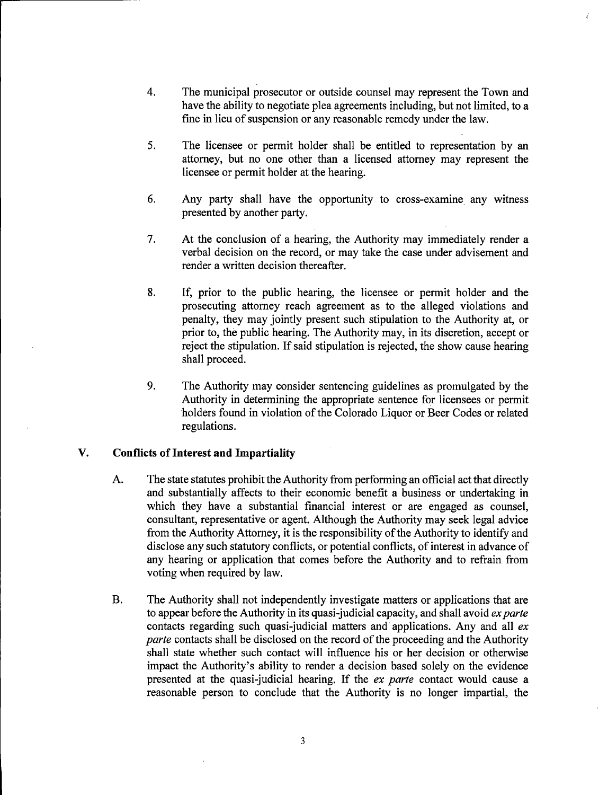- 4. The municipal prosecutor or outside counsel may represent the Town and have the ability to negotiate plea agreements including, but not limited, to a fine in lieu of suspension or any reasonable remedy under the law.
- 5. The licensee or permit holder shall be entitled to representation by an attorney, but no one other than a licensed attorney may represent the licensee or permit holder at the hearing.
- 6. Any party shall have the opportunity to cross-examine any witness presented by another party.
- 7. At the conclusion of a hearing, the Authority may immediately render a verbal decision on the record, or may take the case under advisement and render a written decision thereafter.
- 8. If, prior to the public hearing, the licensee or permit holder and the prosecuting attorney reach agreement as to the alleged violations and penalty, they may jointly present such stipulation to the Authority at, or prior to, the public hearing. The Authority may, in its discretion, accept or reject the stipulation. If said stipulation is rejected, the show cause hearing shall proceed.
- 9. The Authority may consider sentencing guidelines as promulgated by the Authority in determining the appropriate sentence for licensees or permit holders found in violation of the Colorado Liquor or Beer Codes or related regulations.

#### V. Conflicts of Interest and Impartiality

- A. The state statutes prohibit the Authority from performing an official act that directly and substantially affects to their economic benefit a business or undertaking in which they have a substantial financial interest or are engaged as counsel, consultant, representative or agent. Although the Authority may seek legal advice from the Authority Attorney, it is the responsibility of the Authority to identify and disclose any such statutory conflicts, or potential conflicts, of interest in advance of any hearing or application that comes before the Authority and to refrain from voting when required by law.
- B. The Authority shall not independently investigate matters or applications that are to appear before the Authority in its quasi-judicial capacity, and shall avoid  $ex$  parte contacts regarding such quasi-judicial matters and applications. Any and all ex parte contacts shall be disclosed on the record of the proceeding and the Authority shall state whether such contact will influence his or her decision or otherwise impact the Authority's ability to render a decision based solely on the evidence presented at the quasi-judicial hearing. If the ex parte contact would cause a reasonable person to conclude that the Authority is no longer impartial, the

 $\overline{3}$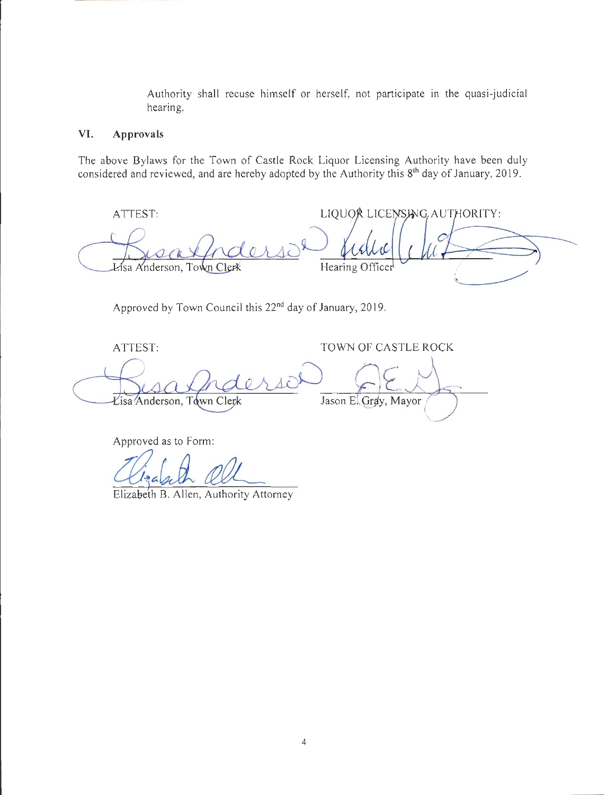Authority shall recuse himself or herself, not participate in the quasi-judicial hearing.

#### VI. Approvals

The above Bylaws for the Town of Castle Rock Liquor Licensing Authority have been duly considered and reviewed, and are hereby adopted by the Authority this 8<sup>th</sup> day of January, 2019.

| ATTEST:                   | LIQUOR LICENSING, AUTHORITY: |
|---------------------------|------------------------------|
|                           |                              |
| Lisa Anderson, Town Clerk | Hearing Officer              |
|                           |                              |

Approved by Town Council this 22<sup>nd</sup> day of January, 2019.

ATTEST:

TOWN OF CASTLE ROCK

Lisa Anderson, Town Clerk Jason E. Gray, Mayor

Approved as to Form:

Elizabeth B. Allen, Authority Attomey